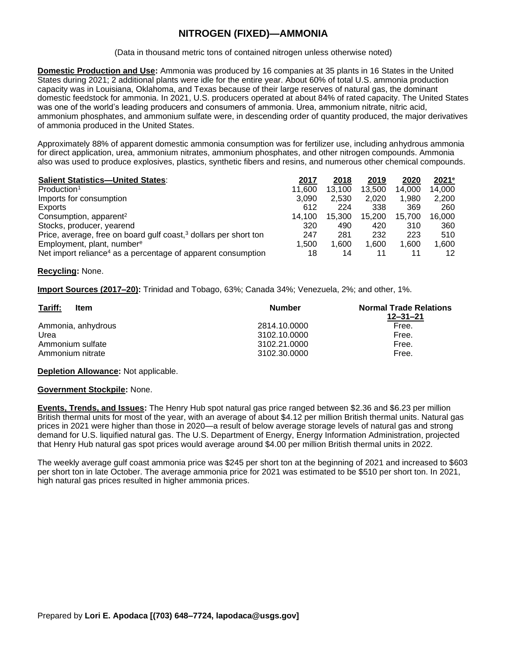# **NITROGEN (FIXED)—AMMONIA**

(Data in thousand metric tons of contained nitrogen unless otherwise noted)

**Domestic Production and Use:** Ammonia was produced by 16 companies at 35 plants in 16 States in the United States during 2021; 2 additional plants were idle for the entire year. About 60% of total U.S. ammonia production capacity was in Louisiana, Oklahoma, and Texas because of their large reserves of natural gas, the dominant domestic feedstock for ammonia. In 2021, U.S. producers operated at about 84% of rated capacity. The United States was one of the world's leading producers and consumers of ammonia. Urea, ammonium nitrate, nitric acid, ammonium phosphates, and ammonium sulfate were, in descending order of quantity produced, the major derivatives of ammonia produced in the United States.

Approximately 88% of apparent domestic ammonia consumption was for fertilizer use, including anhydrous ammonia for direct application, urea, ammonium nitrates, ammonium phosphates, and other nitrogen compounds. Ammonia also was used to produce explosives, plastics, synthetic fibers and resins, and numerous other chemical compounds.

| <b>Salient Statistics-United States:</b>                                     | 2017   | 2018   | 2019   | 2020   | $2021$ <sup>e</sup> |
|------------------------------------------------------------------------------|--------|--------|--------|--------|---------------------|
| Production <sup>1</sup>                                                      | 11,600 | 13,100 | 13,500 | 14.000 | 14.000              |
| Imports for consumption                                                      | 3.090  | 2.530  | 2.020  | 1.980  | 2.200               |
| Exports                                                                      | 612    | 224    | 338    | 369    | 260                 |
| Consumption, apparent <sup>2</sup>                                           | 14.100 | 15,300 | 15.200 | 15.700 | 16.000              |
| Stocks, producer, yearend                                                    | 320    | 490    | 420    | 310    | 360                 |
| Price, average, free on board gulf coast, <sup>3</sup> dollars per short ton | 247    | 281    | 232    | 223    | 510                 |
| Employment, plant, number <sup>e</sup>                                       | 1.500  | 1.600  | 1.600  | 1.600  | 1.600               |
| Net import reliance <sup>4</sup> as a percentage of apparent consumption     | 18     | 14     | 11     | 11     | 12                  |

### **Recycling:** None.

**Import Sources (2017–20):** Trinidad and Tobago, 63%; Canada 34%; Venezuela, 2%; and other, 1%.

| Tariff:<br>Item    | <b>Number</b> | <b>Normal Trade Relations</b><br>12–31–21 |
|--------------------|---------------|-------------------------------------------|
| Ammonia, anhydrous | 2814.10.0000  | Free.                                     |
| Urea               | 3102.10.0000  | Free.                                     |
| Ammonium sulfate   | 3102.21.0000  | Free.                                     |
| Ammonium nitrate   | 3102.30.0000  | Free.                                     |

### **Depletion Allowance:** Not applicable.

### **Government Stockpile:** None.

**Events, Trends, and Issues:** The Henry Hub spot natural gas price ranged between \$2.36 and \$6.23 per million British thermal units for most of the year, with an average of about \$4.12 per million British thermal units. Natural gas prices in 2021 were higher than those in 2020—a result of below average storage levels of natural gas and strong demand for U.S. liquified natural gas. The U.S. Department of Energy, Energy Information Administration, projected that Henry Hub natural gas spot prices would average around \$4.00 per million British thermal units in 2022.

The weekly average gulf coast ammonia price was \$245 per short ton at the beginning of 2021 and increased to \$603 per short ton in late October. The average ammonia price for 2021 was estimated to be \$510 per short ton. In 2021, high natural gas prices resulted in higher ammonia prices.